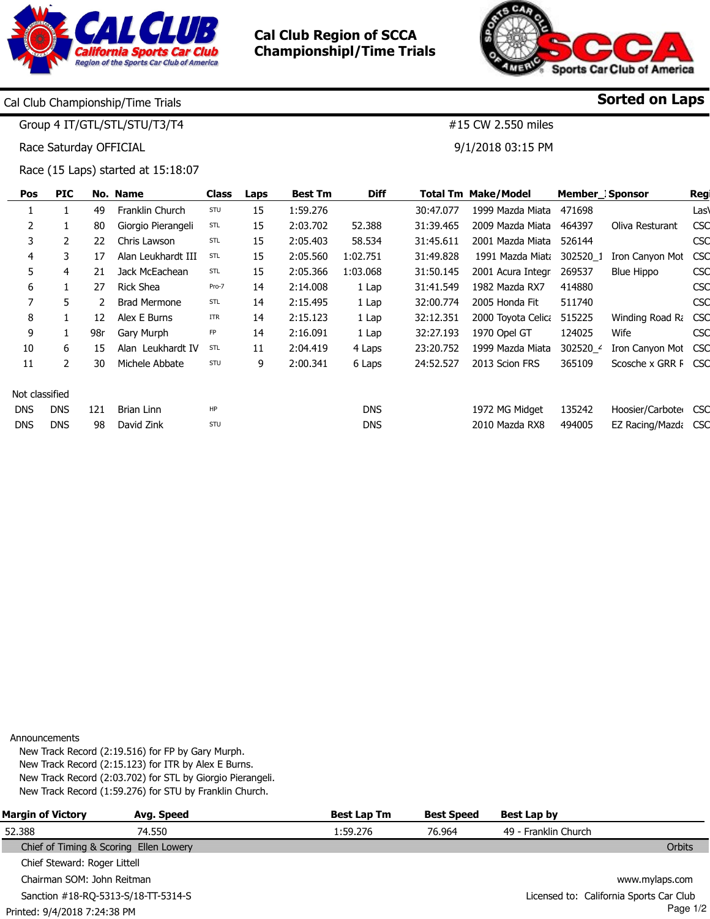

Cal Club Region of SCCA Championshipl/Time Trials



#15 CW 2.550 miles

9/1/2018 03:15 PM

Sorted on Laps

Cal Club Championship/Time Trials

Group 4 IT/GTL/STL/STU/T3/T4

Race Saturday OFFICIAL

Race (15 Laps) started at 15:18:07

| <b>PIC</b>     |     |                     | Class      | Laps | <b>Best Tm</b> | <b>Diff</b> |           |                    |                                                |                  | Reg                                                                                                           |
|----------------|-----|---------------------|------------|------|----------------|-------------|-----------|--------------------|------------------------------------------------|------------------|---------------------------------------------------------------------------------------------------------------|
|                | 49  | Franklin Church     | STU        | 15   | 1:59.276       |             | 30:47.077 | 1999 Mazda Miata   | 471698                                         |                  | Las\                                                                                                          |
|                | 80  | Giorgio Pierangeli  | STL        | 15   | 2:03.702       | 52.388      | 31:39.465 |                    | 464397                                         | Oliva Resturant  | CSC                                                                                                           |
| 2              | 22  | Chris Lawson        | STL        | 15   | 2:05.403       | 58.534      | 31:45.611 | 2001 Mazda Miata   | 526144                                         |                  | <b>CSC</b>                                                                                                    |
| 3              | 17  | Alan Leukhardt III  | STL        | 15   | 2:05.560       | 1:02.751    | 31:49.828 |                    | 302520 1                                       | Iron Canyon Mot  | <b>CSC</b>                                                                                                    |
| 4              | 21  | Jack McEachean      | <b>STL</b> | 15   | 2:05.366       | 1:03.068    | 31:50.145 | 2001 Acura Integr  | 269537                                         | Blue Hippo       | <b>CSC</b>                                                                                                    |
|                | 27  | <b>Rick Shea</b>    | Pro-7      | 14   | 2:14.008       | 1 Lap       | 31:41.549 | 1982 Mazda RX7     | 414880                                         |                  | CSC                                                                                                           |
| 5.             |     | <b>Brad Mermone</b> | STL        | 14   | 2:15.495       | 1 Lap       | 32:00.774 | 2005 Honda Fit     | 511740                                         |                  | <b>CSC</b>                                                                                                    |
|                | 12  | Alex E Burns        | <b>ITR</b> | 14   | 2:15.123       | 1 Lap       | 32:12.351 | 2000 Toyota Celica | 515225                                         |                  | <b>CSC</b>                                                                                                    |
| $\mathbf{1}$   | 98r | Gary Murph          | FP         | 14   | 2:16.091       | 1 Lap       | 32:27.193 | 1970 Opel GT       | 124025                                         | Wife             | <b>CSC</b>                                                                                                    |
| 6              | 15  | Alan Leukhardt IV   | STL        | 11   | 2:04.419       | 4 Laps      | 23:20.752 | 1999 Mazda Miata   | 302520_4                                       |                  | <b>CSC</b>                                                                                                    |
| 2              | 30  | Michele Abbate      | STU        | 9    | 2:00.341       | 6 Laps      | 24:52.527 | 2013 Scion FRS     | 365109                                         |                  | <b>CSC</b>                                                                                                    |
| Not classified |     |                     |            |      |                |             |           |                    |                                                |                  |                                                                                                               |
| <b>DNS</b>     | 121 | Brian Linn          | HP         |      |                | <b>DNS</b>  |           | 1972 MG Midget     | 135242                                         |                  | <b>CSC</b>                                                                                                    |
| <b>DNS</b>     | 98  | David Zink          | STU        |      |                | <b>DNS</b>  |           | 2010 Mazda RX8     | 494005                                         |                  | <b>CSC</b>                                                                                                    |
|                |     |                     | No. Name   |      |                |             |           |                    | <b>Total Tm Make/Model</b><br>2009 Mazda Miata | 1991 Mazda Miata | Member Sponsor<br>Winding Road Ra<br>Iron Canyon Mot<br>Scosche x GRR F<br>Hoosier/Carbote<br>EZ Racing/Mazda |

Announcements

New Track Record (2:19.516) for FP by Gary Murph. New Track Record (2:15.123) for ITR by Alex E Burns. New Track Record (2:03.702) for STL by Giorgio Pierangeli. New Track Record (1:59.276) for STU by Franklin Church.

| <b>Margin of Victory</b>     | Avg. Speed                             | <b>Best Lap Tm</b> | <b>Best Speed</b> | Best Lap by                             |
|------------------------------|----------------------------------------|--------------------|-------------------|-----------------------------------------|
| 52.388                       | 74.550                                 | 1:59.276           | 76.964            | 49 - Franklin Church                    |
|                              | Chief of Timing & Scoring Ellen Lowery |                    |                   | Orbits                                  |
| Chief Steward: Roger Littell |                                        |                    |                   |                                         |
| Chairman SOM: John Reitman   |                                        |                    |                   | www.mylaps.com                          |
|                              | Sanction #18-RQ-5313-S/18-TT-5314-S    |                    |                   | Licensed to: California Sports Car Club |
| Printed: 9/4/2018 7:24:38 PM |                                        |                    |                   | Page $1/2$                              |